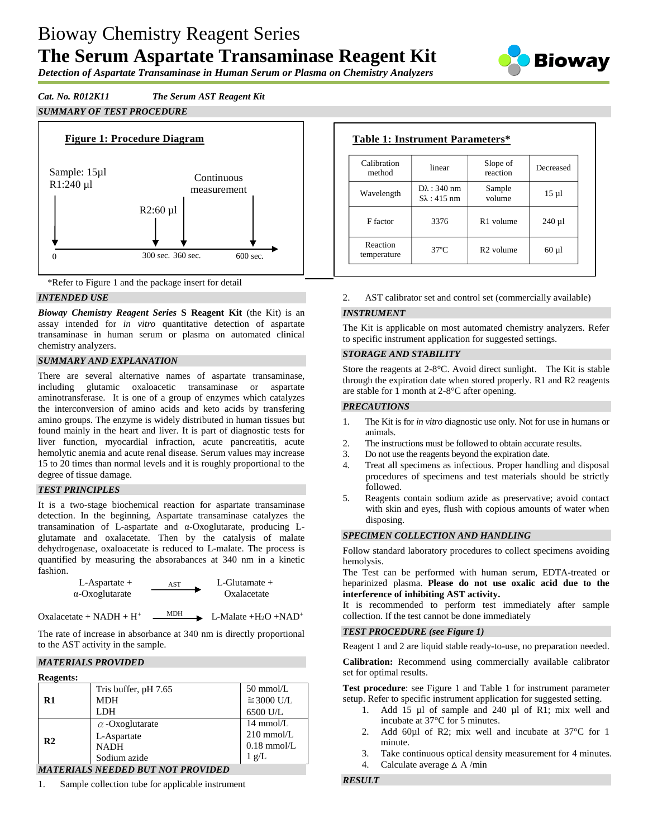# Bioway Chemistry Reagent Series **The Serum Aspartate Transaminase Reagent Kit**



*Detection of Aspartate Transaminase in Human Serum or Plasma on Chemistry Analyzers*

*Cat. No. R012K11 The Serum AST Reagent Kit*

# *SUMMARY OF TEST PROCEDURE*





## *INTENDED USE*

*Bioway Chemistry Reagent Series* **S Reagent Kit** (the Kit) is an assay intended for *in vitro* quantitative detection of aspartate transaminase in human serum or plasma on automated clinical chemistry analyzers.

## *SUMMARY AND EXPLANATION*

There are several alternative names of aspartate transaminase, including glutamic oxaloacetic transaminase or aspartate aminotransferase. It is one of a group of enzymes which catalyzes the interconversion of amino acids and keto acids by transfering amino groups. The enzyme is widely distributed in human tissues but found mainly in the heart and liver. It is part of diagnostic tests for liver function, myocardial infraction, acute pancreatitis, acute hemolytic anemia and acute renal disease. Serum values may increase 15 to 20 times than normal levels and it is roughly proportional to the degree of tissue damage.

## *TEST PRINCIPLES*

It is a two-stage biochemical reaction for aspartate transaminase detection. In the beginning, Aspartate transaminase catalyzes the transamination of L-aspartate and α-Oxoglutarate, producing Lglutamate and oxalacetate. Then by the catalysis of malate dehydrogenase, oxaloacetate is reduced to L-malate. The process is quantified by measuring the absorabances at 340 nm in a kinetic fashion.

L-Aspartate +  $\overline{AST}$  L-Glutamate + α-Oxoglutarate Oxalacetate

Oxalacetate + NADH + H<sup>+</sup>

 $MDH$  L-Malate +H<sub>2</sub>O +NAD<sup>+</sup>

The rate of increase in absorbance at 340 nm is directly proportional to the AST activity in the sample.

## *MATERIALS PROVIDED*

| <b>Reagents:</b> |                        |                     |
|------------------|------------------------|---------------------|
|                  | Tris buffer, pH 7.65   | $50 \text{ mmol/L}$ |
| R1               | <b>MDH</b>             | $\geq$ 3000 U/L     |
|                  | <b>LDH</b>             | 6500 U/L            |
|                  | $\alpha$ -Oxoglutarate | $14 \text{ mmol/L}$ |
| R <sub>2</sub>   | L-Aspartate            | $210$ mmol/L        |
|                  | <b>NADH</b>            | $0.18$ mmol/L       |
|                  | Sodium azide           | $1 \text{ g/L}$     |
|                  |                        |                     |

*MATERIALS NEEDED BUT NOT PROVIDED*

1. Sample collection tube for applicable instrument

| Calibration<br>method   | linear                                        | Slope of<br>reaction  | Decreased  |
|-------------------------|-----------------------------------------------|-----------------------|------------|
| Wavelength              | $D\lambda$ : 340 nm<br>$S_{\lambda}$ : 415 nm | Sample<br>volume      | $15 \mu l$ |
| F factor                | 3376                                          | R <sub>1</sub> volume | $240 \mu$  |
| Reaction<br>temperature | $37^{\circ}$ C                                | R <sub>2</sub> volume | $60 \mu l$ |

2. AST calibrator set and control set (commercially available)

# *INSTRUMENT*

The Kit is applicable on most automated chemistry analyzers. Refer to specific instrument application for suggested settings.

#### *STORAGE AND STABILITY*

Store the reagents at 2-8°C. Avoid direct sunlight. The Kit is stable through the expiration date when stored properly. R1 and R2 reagents are stable for 1 month at 2-8°C after opening.

## *PRECAUTIONS*

- 1. The Kit is for *in vitro* diagnostic use only. Not for use in humans or animals.
- 2. The instructions must be followed to obtain accurate results.
- 3. Do not use the reagents beyond the expiration date.
- 4. Treat all specimens as infectious. Proper handling and disposal procedures of specimens and test materials should be strictly followed.
- 5. Reagents contain sodium azide as preservative; avoid contact with skin and eyes, flush with copious amounts of water when disposing.

## *SPECIMEN COLLECTION AND HANDLING*

Follow standard laboratory procedures to collect specimens avoiding hemolysis.

The Test can be performed with human serum, EDTA-treated or heparinized plasma. **Please do not use oxalic acid due to the interference of inhibiting AST activity.**

It is recommended to perform test immediately after sample collection. If the test cannot be done immediately

## *TEST PROCEDURE (see Figure 1)*

Reagent 1 and 2 are liquid stable ready-to-use, no preparation needed.

**Calibration:** Recommend using commercially available calibrator set for optimal results.

**Test procedure**: see Figure 1 and Table 1 for instrument parameter setup. Refer to specific instrument application for suggested setting.

- 1. Add 15 µl of sample and 240 µl of R1; mix well and incubate at 37°C for 5 minutes.
- 2. Add 60ul of R2; mix well and incubate at 37 °C for 1 minute.
- 3. Take continuous optical density measurement for 4 minutes.
- 4. Calculate average  $\triangle$  A/min

# *RESULT*